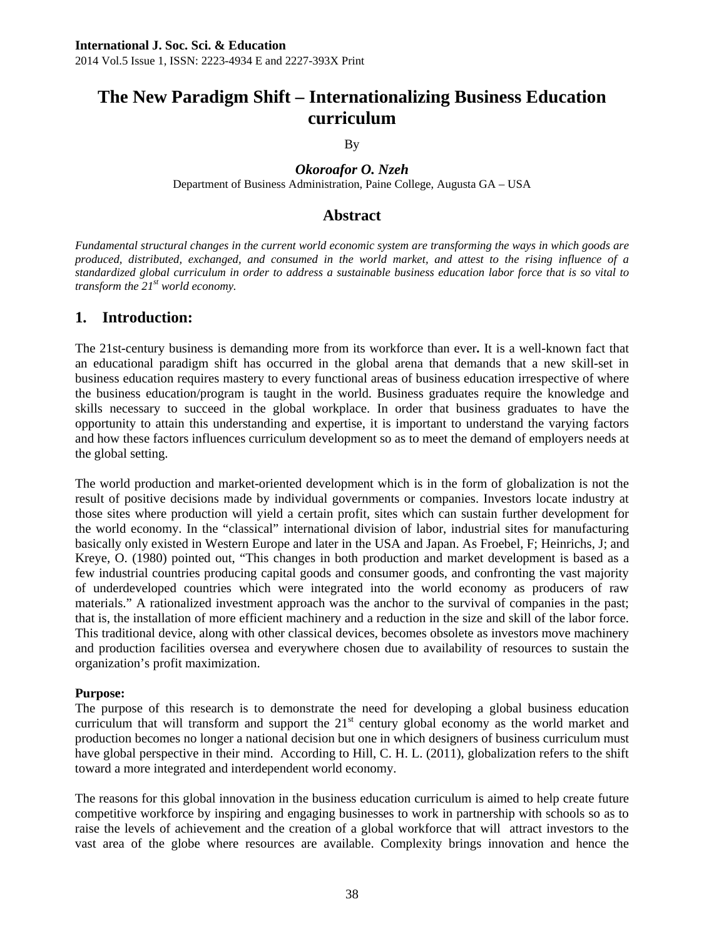# **The New Paradigm Shift – Internationalizing Business Education curriculum**

By

*Okoroafor O. Nzeh*  Department of Business Administration, Paine College, Augusta GA – USA

## **Abstract**

*Fundamental structural changes in the current world economic system are transforming the ways in which goods are produced, distributed, exchanged, and consumed in the world market, and attest to the rising influence of a standardized global curriculum in order to address a sustainable business education labor force that is so vital to transform the 21st world economy.* 

## **1. Introduction:**

The 21st-century business is demanding more from its workforce than ever**.** It is a well-known fact that an educational paradigm shift has occurred in the global arena that demands that a new skill-set in business education requires mastery to every functional areas of business education irrespective of where the business education/program is taught in the world. Business graduates require the knowledge and skills necessary to succeed in the global workplace. In order that business graduates to have the opportunity to attain this understanding and expertise, it is important to understand the varying factors and how these factors influences curriculum development so as to meet the demand of employers needs at the global setting.

The world production and market-oriented development which is in the form of globalization is not the result of positive decisions made by individual governments or companies. Investors locate industry at those sites where production will yield a certain profit, sites which can sustain further development for the world economy. In the "classical" international division of labor, industrial sites for manufacturing basically only existed in Western Europe and later in the USA and Japan. As Froebel, F; Heinrichs, J; and Kreye, O. (1980) pointed out, "This changes in both production and market development is based as a few industrial countries producing capital goods and consumer goods, and confronting the vast majority of underdeveloped countries which were integrated into the world economy as producers of raw materials." A rationalized investment approach was the anchor to the survival of companies in the past; that is, the installation of more efficient machinery and a reduction in the size and skill of the labor force. This traditional device, along with other classical devices, becomes obsolete as investors move machinery and production facilities oversea and everywhere chosen due to availability of resources to sustain the organization's profit maximization.

### **Purpose:**

The purpose of this research is to demonstrate the need for developing a global business education curriculum that will transform and support the  $21<sup>st</sup>$  century global economy as the world market and production becomes no longer a national decision but one in which designers of business curriculum must have global perspective in their mind. According to Hill, C. H. L. (2011), globalization refers to the shift toward a more integrated and interdependent world economy.

The reasons for this global innovation in the business education curriculum is aimed to help create future competitive workforce by inspiring and engaging businesses to work in partnership with schools so as to raise the levels of achievement and the creation of a global workforce that will attract investors to the vast area of the globe where resources are available. Complexity brings innovation and hence the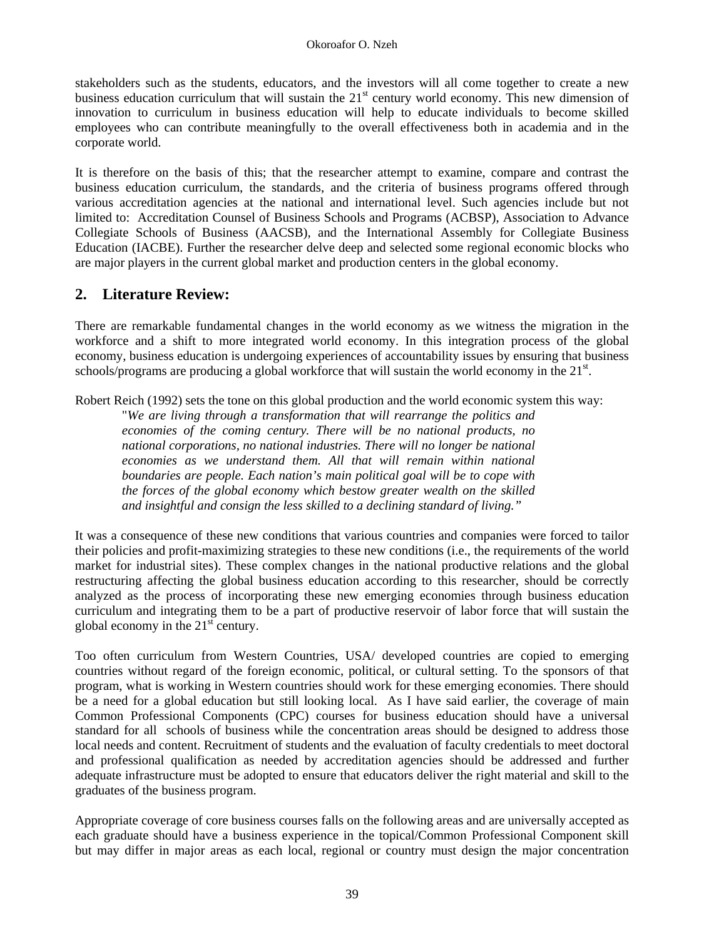stakeholders such as the students, educators, and the investors will all come together to create a new business education curriculum that will sustain the  $21<sup>st</sup>$  century world economy. This new dimension of innovation to curriculum in business education will help to educate individuals to become skilled employees who can contribute meaningfully to the overall effectiveness both in academia and in the corporate world.

It is therefore on the basis of this; that the researcher attempt to examine, compare and contrast the business education curriculum, the standards, and the criteria of business programs offered through various accreditation agencies at the national and international level. Such agencies include but not limited to: Accreditation Counsel of Business Schools and Programs (ACBSP), Association to Advance Collegiate Schools of Business (AACSB), and the International Assembly for Collegiate Business Education (IACBE). Further the researcher delve deep and selected some regional economic blocks who are major players in the current global market and production centers in the global economy.

## **2. Literature Review:**

There are remarkable fundamental changes in the world economy as we witness the migration in the workforce and a shift to more integrated world economy. In this integration process of the global economy, business education is undergoing experiences of accountability issues by ensuring that business schools/programs are producing a global workforce that will sustain the world economy in the 21<sup>st</sup>.

Robert Reich (1992) sets the tone on this global production and the world economic system this way:

"*We are living through a transformation that will rearrange the politics and economies of the coming century. There will be no national products, no national corporations, no national industries. There will no longer be national economies as we understand them. All that will remain within national boundaries are people. Each nation's main political goal will be to cope with the forces of the global economy which bestow greater wealth on the skilled and insightful and consign the less skilled to a declining standard of living."*

It was a consequence of these new conditions that various countries and companies were forced to tailor their policies and profit-maximizing strategies to these new conditions (i.e., the requirements of the world market for industrial sites). These complex changes in the national productive relations and the global restructuring affecting the global business education according to this researcher, should be correctly analyzed as the process of incorporating these new emerging economies through business education curriculum and integrating them to be a part of productive reservoir of labor force that will sustain the global economy in the  $21<sup>st</sup>$  century.

Too often curriculum from Western Countries, USA/ developed countries are copied to emerging countries without regard of the foreign economic, political, or cultural setting. To the sponsors of that program, what is working in Western countries should work for these emerging economies. There should be a need for a global education but still looking local. As I have said earlier, the coverage of main Common Professional Components (CPC) courses for business education should have a universal standard for all schools of business while the concentration areas should be designed to address those local needs and content. Recruitment of students and the evaluation of faculty credentials to meet doctoral and professional qualification as needed by accreditation agencies should be addressed and further adequate infrastructure must be adopted to ensure that educators deliver the right material and skill to the graduates of the business program.

Appropriate coverage of core business courses falls on the following areas and are universally accepted as each graduate should have a business experience in the topical/Common Professional Component skill but may differ in major areas as each local, regional or country must design the major concentration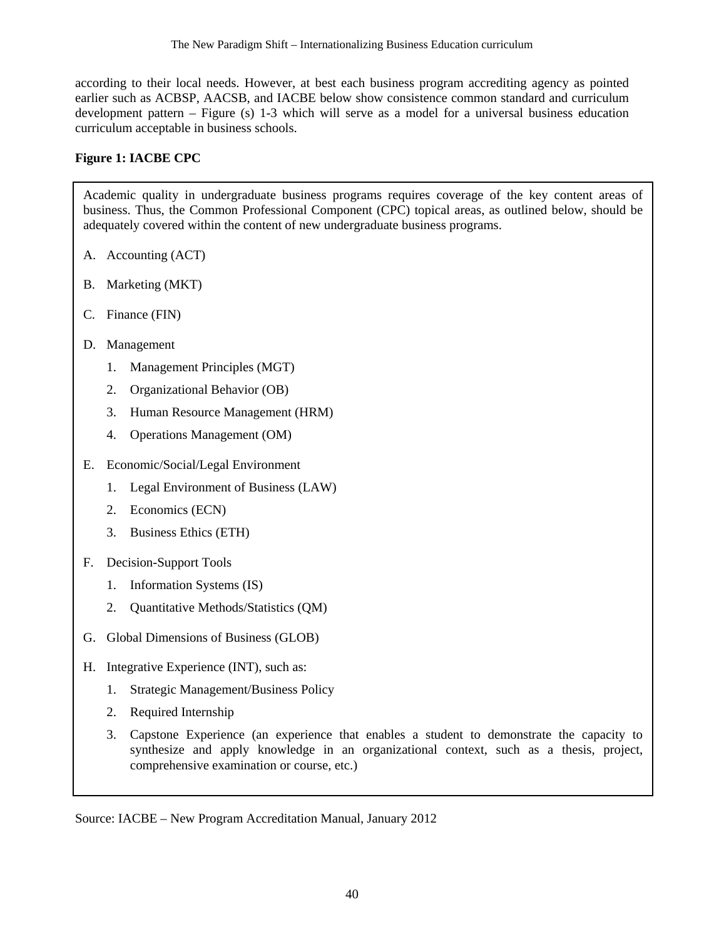according to their local needs. However, at best each business program accrediting agency as pointed earlier such as ACBSP, AACSB, and IACBE below show consistence common standard and curriculum development pattern – Figure (s) 1-3 which will serve as a model for a universal business education curriculum acceptable in business schools.

### **Figure 1: IACBE CPC**

Academic quality in undergraduate business programs requires coverage of the key content areas of business. Thus, the Common Professional Component (CPC) topical areas, as outlined below, should be adequately covered within the content of new undergraduate business programs.

- A. Accounting (ACT)
- B. Marketing (MKT)
- C. Finance (FIN)
- D. Management
	- 1. Management Principles (MGT)
	- 2. Organizational Behavior (OB)
	- 3. Human Resource Management (HRM)
	- 4. Operations Management (OM)
- E. Economic/Social/Legal Environment
	- 1. Legal Environment of Business (LAW)
	- 2. Economics (ECN)
	- 3. Business Ethics (ETH)
- F. Decision-Support Tools
	- 1. Information Systems (IS)
	- 2. Quantitative Methods/Statistics (QM)
- G. Global Dimensions of Business (GLOB)
- H. Integrative Experience (INT), such as:
	- 1. Strategic Management/Business Policy
	- 2. Required Internship
	- 3. Capstone Experience (an experience that enables a student to demonstrate the capacity to synthesize and apply knowledge in an organizational context, such as a thesis, project, comprehensive examination or course, etc.)

Source: IACBE – New Program Accreditation Manual, January 2012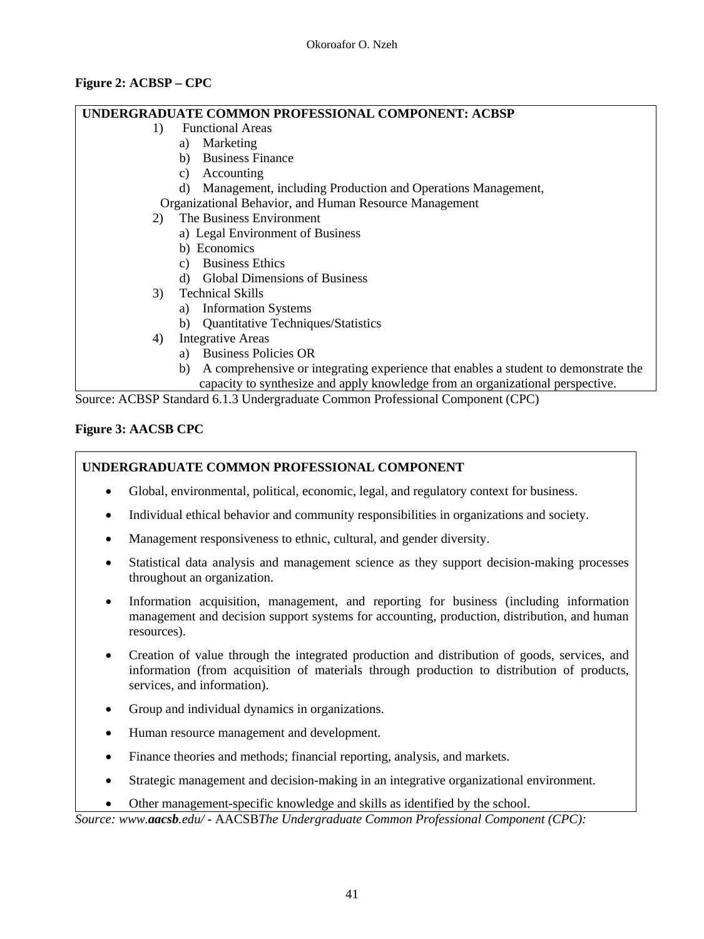### **Figure 2: ACBSP – CPC**

### **UNDERGRADUATE COMMON PROFESSIONAL COMPONENT: ACBSP**

- 1) Functional Areas
	- a) Marketing
	- b) Business Finance
	- c) Accounting
	- d) Management, including Production and Operations Management,

Organizational Behavior, and Human Resource Management

- 2) The Business Environment
	- a) Legal Environment of Business
	- b) Economics
	- c) Business Ethics
	- d) Global Dimensions of Business
- 3) Technical Skills
	- a) Information Systems
	- b) Quantitative Techniques/Statistics
- 4) Integrative Areas
	- a) Business Policies OR
	- b) A comprehensive or integrating experience that enables a student to demonstrate the capacity to synthesize and apply knowledge from an organizational perspective.

Source: ACBSP Standard 6.1.3 Undergraduate Common Professional Component (CPC)

## **Figure 3: AACSB CPC**

### **UNDERGRADUATE COMMON PROFESSIONAL COMPONENT**

- Global, environmental, political, economic, legal, and regulatory context for business.
- Individual ethical behavior and community responsibilities in organizations and society.
- Management responsiveness to ethnic, cultural, and gender diversity.
- Statistical data analysis and management science as they support decision-making processes throughout an organization.
- Information acquisition, management, and reporting for business (including information management and decision support systems for accounting, production, distribution, and human resources).
- Creation of value through the integrated production and distribution of goods, services, and information (from acquisition of materials through production to distribution of products, services, and information).
- Group and individual dynamics in organizations.
- Human resource management and development.
- Finance theories and methods; financial reporting, analysis, and markets.
- Strategic management and decision-making in an integrative organizational environment.
- Other management-specific knowledge and skills as identified by the school.

*Source: www.aacsb.edu/* - AACSB*The Undergraduate Common Professional Component (CPC):*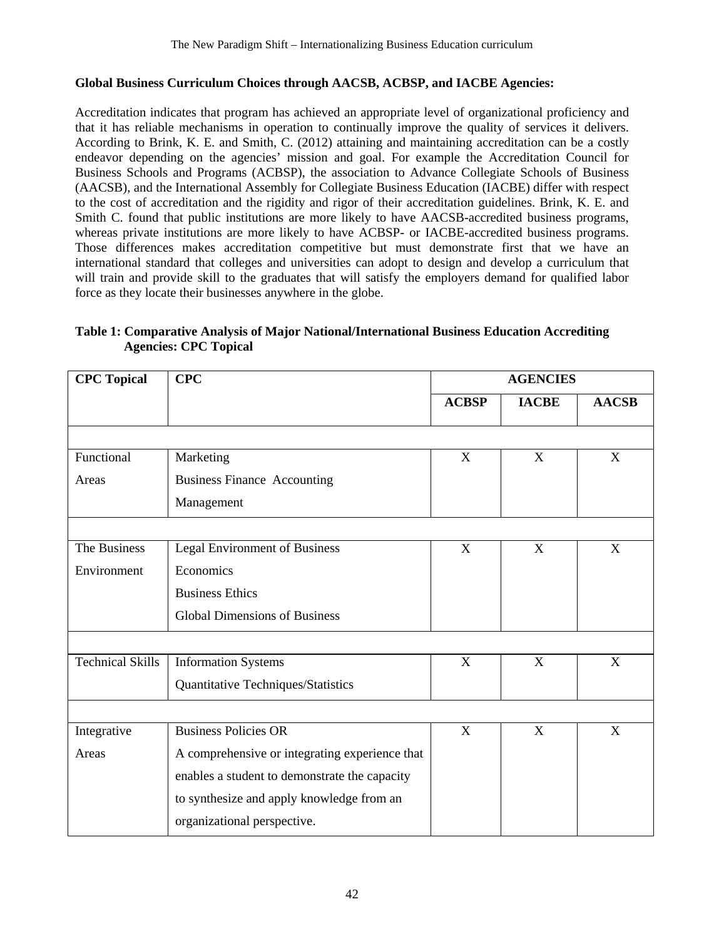### **Global Business Curriculum Choices through AACSB, ACBSP, and IACBE Agencies:**

Accreditation indicates that program has achieved an appropriate level of organizational proficiency and that it has reliable mechanisms in operation to continually improve the quality of services it delivers. According to Brink, K. E. and Smith, C. (2012) attaining and maintaining accreditation can be a costly endeavor depending on the agencies' mission and goal. For example the Accreditation Council for Business Schools and Programs (ACBSP), the association to Advance Collegiate Schools of Business (AACSB), and the International Assembly for Collegiate Business Education (IACBE) differ with respect to the cost of accreditation and the rigidity and rigor of their accreditation guidelines. Brink, K. E. and Smith C. found that public institutions are more likely to have AACSB-accredited business programs, whereas private institutions are more likely to have ACBSP- or IACBE-accredited business programs. Those differences makes accreditation competitive but must demonstrate first that we have an international standard that colleges and universities can adopt to design and develop a curriculum that will train and provide skill to the graduates that will satisfy the employers demand for qualified labor force as they locate their businesses anywhere in the globe.

### **Table 1: Comparative Analysis of Major National/International Business Education Accrediting Agencies: CPC Topical**

| <b>CPC</b> Topical      | CPC                                            | <b>AGENCIES</b> |              |              |  |
|-------------------------|------------------------------------------------|-----------------|--------------|--------------|--|
|                         |                                                | <b>ACBSP</b>    | <b>IACBE</b> | <b>AACSB</b> |  |
|                         |                                                |                 |              |              |  |
| Functional              | Marketing                                      | $\mathbf{X}$    | $\mathbf X$  | X            |  |
| Areas                   | <b>Business Finance Accounting</b>             |                 |              |              |  |
|                         | Management                                     |                 |              |              |  |
|                         |                                                |                 |              |              |  |
| The Business            | <b>Legal Environment of Business</b>           | X               | X            | X            |  |
| Environment             | Economics                                      |                 |              |              |  |
|                         | <b>Business Ethics</b>                         |                 |              |              |  |
|                         | <b>Global Dimensions of Business</b>           |                 |              |              |  |
|                         |                                                |                 |              |              |  |
| <b>Technical Skills</b> | <b>Information Systems</b>                     | X               | X            | X            |  |
|                         | Quantitative Techniques/Statistics             |                 |              |              |  |
|                         |                                                |                 |              |              |  |
| Integrative             | <b>Business Policies OR</b>                    | X<br>X          |              | X            |  |
| Areas                   | A comprehensive or integrating experience that |                 |              |              |  |
|                         | enables a student to demonstrate the capacity  |                 |              |              |  |
|                         | to synthesize and apply knowledge from an      |                 |              |              |  |
|                         | organizational perspective.                    |                 |              |              |  |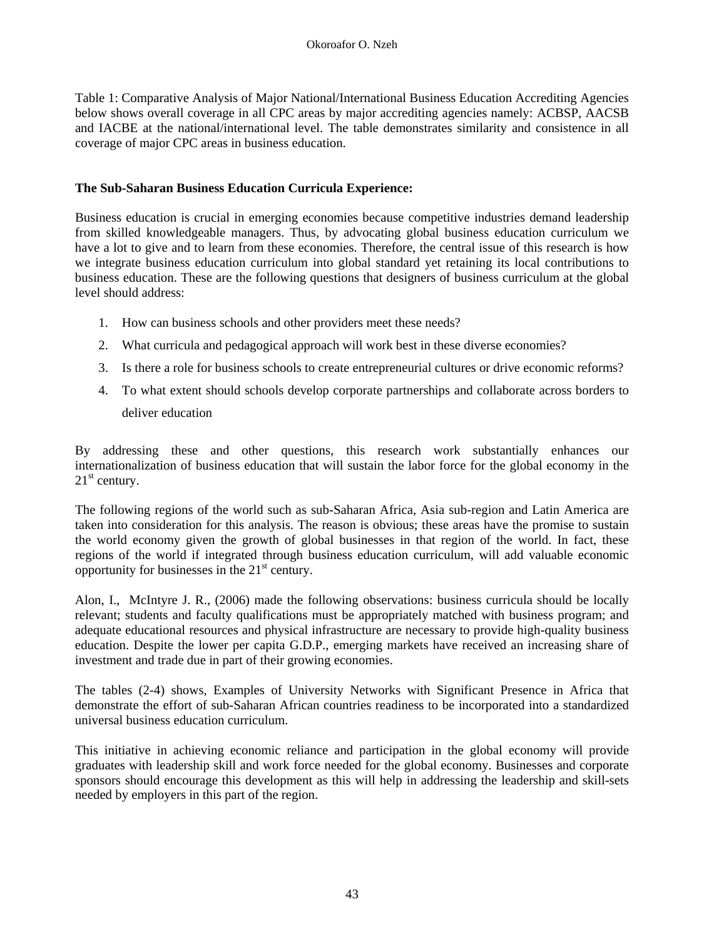Table 1: Comparative Analysis of Major National/International Business Education Accrediting Agencies below shows overall coverage in all CPC areas by major accrediting agencies namely: ACBSP, AACSB and IACBE at the national/international level. The table demonstrates similarity and consistence in all coverage of major CPC areas in business education.

### **The Sub-Saharan Business Education Curricula Experience:**

Business education is crucial in emerging economies because competitive industries demand leadership from skilled knowledgeable managers. Thus, by advocating global business education curriculum we have a lot to give and to learn from these economies. Therefore, the central issue of this research is how we integrate business education curriculum into global standard yet retaining its local contributions to business education. These are the following questions that designers of business curriculum at the global level should address:

- 1. How can business schools and other providers meet these needs?
- 2. What curricula and pedagogical approach will work best in these diverse economies?
- 3. Is there a role for business schools to create entrepreneurial cultures or drive economic reforms?
- 4. To what extent should schools develop corporate partnerships and collaborate across borders to deliver education

By addressing these and other questions, this research work substantially enhances our internationalization of business education that will sustain the labor force for the global economy in the  $21<sup>st</sup>$  century.

The following regions of the world such as sub-Saharan Africa, Asia sub-region and Latin America are taken into consideration for this analysis. The reason is obvious; these areas have the promise to sustain the world economy given the growth of global businesses in that region of the world. In fact, these regions of the world if integrated through business education curriculum, will add valuable economic opportunity for businesses in the  $21<sup>st</sup>$  century.

Alon, I., McIntyre J. R., (2006) made the following observations: business curricula should be locally relevant; students and faculty qualifications must be appropriately matched with business program; and adequate educational resources and physical infrastructure are necessary to provide high-quality business education. Despite the lower per capita G.D.P., emerging markets have received an increasing share of investment and trade due in part of their growing economies.

The tables (2-4) shows, Examples of University Networks with Significant Presence in Africa that demonstrate the effort of sub-Saharan African countries readiness to be incorporated into a standardized universal business education curriculum.

This initiative in achieving economic reliance and participation in the global economy will provide graduates with leadership skill and work force needed for the global economy. Businesses and corporate sponsors should encourage this development as this will help in addressing the leadership and skill-sets needed by employers in this part of the region.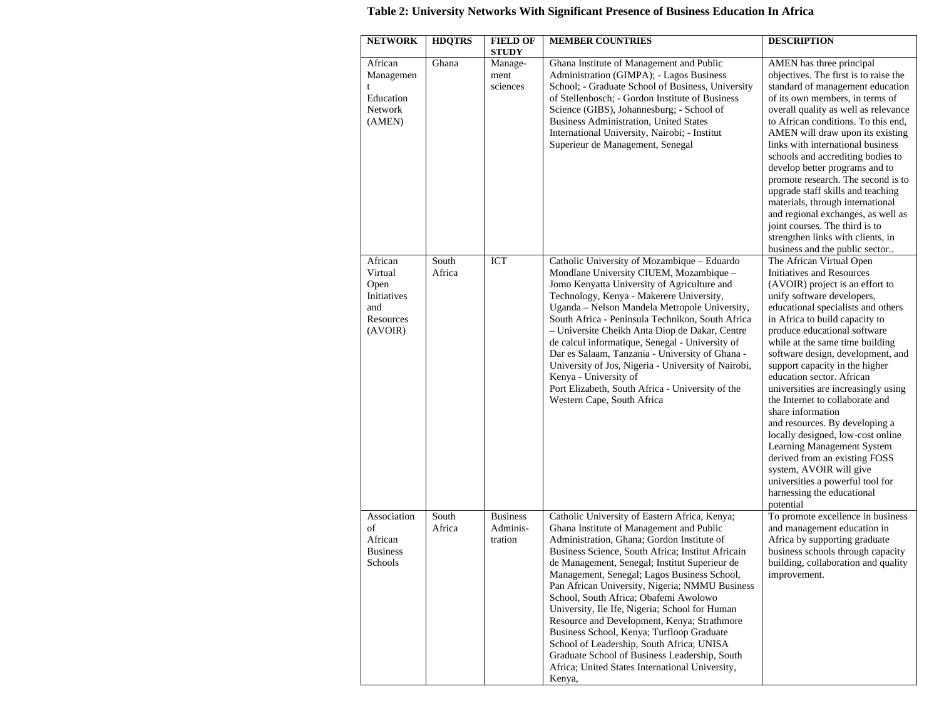| <b>NETWORK</b>                                                           | <b>HDQTRS</b>   | <b>FIELD OF</b><br><b>STUDY</b>        | <b>MEMBER COUNTRIES</b>                                                                                                                                                                                                                                                                                                                                                                                                                                                                                                                                                                                                                                                                          | <b>DESCRIPTION</b>                                                                                                                                                                                                                                                                                                                                                                                                                                                                                                                                                                                                                                                                                                   |
|--------------------------------------------------------------------------|-----------------|----------------------------------------|--------------------------------------------------------------------------------------------------------------------------------------------------------------------------------------------------------------------------------------------------------------------------------------------------------------------------------------------------------------------------------------------------------------------------------------------------------------------------------------------------------------------------------------------------------------------------------------------------------------------------------------------------------------------------------------------------|----------------------------------------------------------------------------------------------------------------------------------------------------------------------------------------------------------------------------------------------------------------------------------------------------------------------------------------------------------------------------------------------------------------------------------------------------------------------------------------------------------------------------------------------------------------------------------------------------------------------------------------------------------------------------------------------------------------------|
| African<br>Managemen<br>t<br>Education<br>Network<br>(AMEN)              | Ghana           | Manage-<br>ment<br>sciences            | Ghana Institute of Management and Public<br>Administration (GIMPA); - Lagos Business<br>School; - Graduate School of Business, University<br>of Stellenbosch; - Gordon Institute of Business<br>Science (GIBS), Johannesburg; - School of<br>Business Administration, United States<br>International University, Nairobi; - Institut<br>Superieur de Management, Senegal                                                                                                                                                                                                                                                                                                                         | AMEN has three principal<br>objectives. The first is to raise the<br>standard of management education<br>of its own members, in terms of<br>overall quality as well as relevance<br>to African conditions. To this end,<br>AMEN will draw upon its existing<br>links with international business<br>schools and accrediting bodies to<br>develop better programs and to<br>promote research. The second is to<br>upgrade staff skills and teaching<br>materials, through international<br>and regional exchanges, as well as<br>joint courses. The third is to<br>strengthen links with clients, in<br>business and the public sector                                                                                |
| African<br>Virtual<br>Open<br>Initiatives<br>and<br>Resources<br>(AVOIR) | South<br>Africa | <b>ICT</b>                             | Catholic University of Mozambique - Eduardo<br>Mondlane University CIUEM, Mozambique -<br>Jomo Kenyatta University of Agriculture and<br>Technology, Kenya - Makerere University,<br>Uganda – Nelson Mandela Metropole University,<br>South Africa - Peninsula Technikon, South Africa<br>- Universite Cheikh Anta Diop de Dakar, Centre<br>de calcul informatique, Senegal - University of<br>Dar es Salaam, Tanzania - University of Ghana -<br>University of Jos, Nigeria - University of Nairobi,<br>Kenya - University of<br>Port Elizabeth, South Africa - University of the<br>Western Cape, South Africa                                                                                 | The African Virtual Open<br>Initiatives and Resources<br>(AVOIR) project is an effort to<br>unify software developers,<br>educational specialists and others<br>in Africa to build capacity to<br>produce educational software<br>while at the same time building<br>software design, development, and<br>support capacity in the higher<br>education sector. African<br>universities are increasingly using<br>the Internet to collaborate and<br>share information<br>and resources. By developing a<br>locally designed, low-cost online<br>Learning Management System<br>derived from an existing FOSS<br>system, AVOIR will give<br>universities a powerful tool for<br>harnessing the educational<br>potential |
| Association<br>οf<br>African<br><b>Business</b><br>Schools               | South<br>Africa | <b>Business</b><br>Adminis-<br>tration | Catholic University of Eastern Africa, Kenya;<br>Ghana Institute of Management and Public<br>Administration, Ghana; Gordon Institute of<br>Business Science, South Africa; Institut Africain<br>de Management, Senegal; Institut Superieur de<br>Management, Senegal; Lagos Business School,<br>Pan African University, Nigeria; NMMU Business<br>School, South Africa; Obafemi Awolowo<br>University, Ile Ife, Nigeria; School for Human<br>Resource and Development, Kenya; Strathmore<br>Business School, Kenya; Turfloop Graduate<br>School of Leadership, South Africa; UNISA<br>Graduate School of Business Leadership, South<br>Africa; United States International University,<br>Kenya, | To promote excellence in business<br>and management education in<br>Africa by supporting graduate<br>business schools through capacity<br>building, collaboration and quality<br>improvement.                                                                                                                                                                                                                                                                                                                                                                                                                                                                                                                        |

## **Table 2: University Networks With Significant Presence of Business Education In Africa**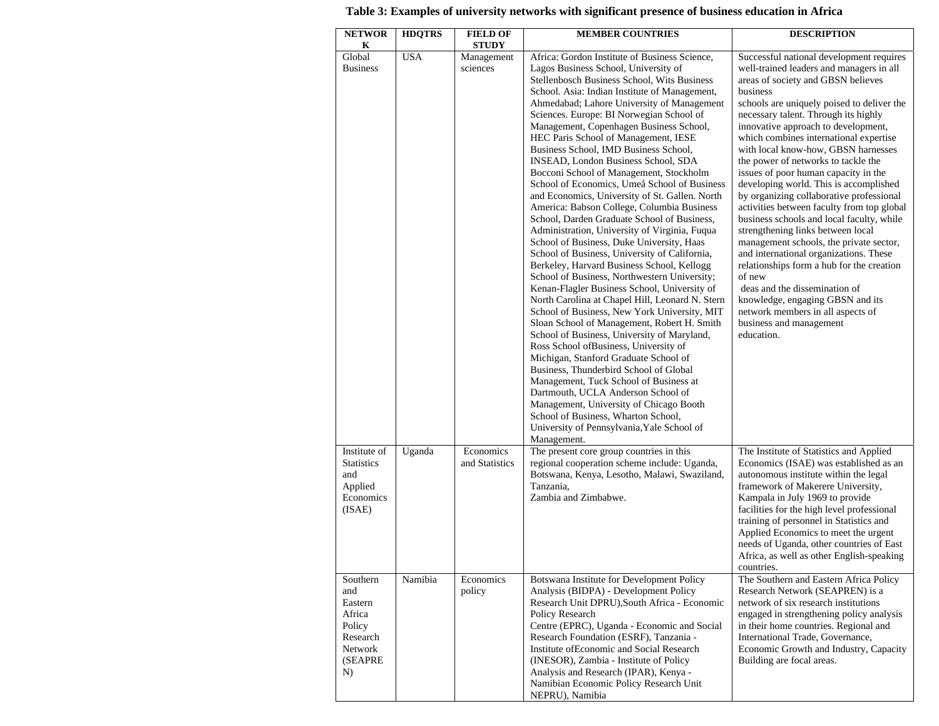| <b>NETWOR</b>                                                                          | <b>HDQTRS</b> | <b>FIELD OF</b>                        | <b>MEMBER COUNTRIES</b>                                                                                                                                                                                                                                                                                                                                                                                                                                                                                                                                                                                                                                                                                                                                                                                                                                                                                                                                                                                                                                                                                                                                                                                                                                                                                                                                                                                                                                                                                                                               | <b>DESCRIPTION</b>                                                                                                                                                                                                                                                                                                                                                                                                                                                                                                                                                                                                                                                                                                                                                                                                                                                                                                                                       |
|----------------------------------------------------------------------------------------|---------------|----------------------------------------|-------------------------------------------------------------------------------------------------------------------------------------------------------------------------------------------------------------------------------------------------------------------------------------------------------------------------------------------------------------------------------------------------------------------------------------------------------------------------------------------------------------------------------------------------------------------------------------------------------------------------------------------------------------------------------------------------------------------------------------------------------------------------------------------------------------------------------------------------------------------------------------------------------------------------------------------------------------------------------------------------------------------------------------------------------------------------------------------------------------------------------------------------------------------------------------------------------------------------------------------------------------------------------------------------------------------------------------------------------------------------------------------------------------------------------------------------------------------------------------------------------------------------------------------------------|----------------------------------------------------------------------------------------------------------------------------------------------------------------------------------------------------------------------------------------------------------------------------------------------------------------------------------------------------------------------------------------------------------------------------------------------------------------------------------------------------------------------------------------------------------------------------------------------------------------------------------------------------------------------------------------------------------------------------------------------------------------------------------------------------------------------------------------------------------------------------------------------------------------------------------------------------------|
| K<br>Global<br><b>Business</b>                                                         | <b>USA</b>    | <b>STUDY</b><br>Management<br>sciences | Africa: Gordon Institute of Business Science,<br>Lagos Business School, University of<br>Stellenbosch Business School, Wits Business<br>School. Asia: Indian Institute of Management,<br>Ahmedabad; Lahore University of Management<br>Sciences. Europe: BI Norwegian School of<br>Management, Copenhagen Business School,<br>HEC Paris School of Management, IESE<br>Business School, IMD Business School,<br>INSEAD, London Business School, SDA<br>Bocconi School of Management, Stockholm<br>School of Economics, Umeå School of Business<br>and Economics, University of St. Gallen. North<br>America: Babson College, Columbia Business<br>School, Darden Graduate School of Business,<br>Administration, University of Virginia, Fuqua<br>School of Business, Duke University, Haas<br>School of Business, University of California,<br>Berkeley, Harvard Business School, Kellogg<br>School of Business, Northwestern University;<br>Kenan-Flagler Business School, University of<br>North Carolina at Chapel Hill, Leonard N. Stern<br>School of Business, New York University, MIT<br>Sloan School of Management, Robert H. Smith<br>School of Business, University of Maryland,<br>Ross School ofBusiness, University of<br>Michigan, Stanford Graduate School of<br>Business, Thunderbird School of Global<br>Management, Tuck School of Business at<br>Dartmouth, UCLA Anderson School of<br>Management, University of Chicago Booth<br>School of Business, Wharton School,<br>University of Pennsylvania, Yale School of<br>Management. | Successful national development requires<br>well-trained leaders and managers in all<br>areas of society and GBSN believes<br>business<br>schools are uniquely poised to deliver the<br>necessary talent. Through its highly<br>innovative approach to development,<br>which combines international expertise<br>with local know-how, GBSN harnesses<br>the power of networks to tackle the<br>issues of poor human capacity in the<br>developing world. This is accomplished<br>by organizing collaborative professional<br>activities between faculty from top global<br>business schools and local faculty, while<br>strengthening links between local<br>management schools, the private sector,<br>and international organizations. These<br>relationships form a hub for the creation<br>of new<br>deas and the dissemination of<br>knowledge, engaging GBSN and its<br>network members in all aspects of<br>business and management<br>education. |
| Institute of<br><b>Statistics</b><br>and<br>Applied<br>Economics<br>(ISAE)             | Uganda        | Economics<br>and Statistics            | The present core group countries in this<br>regional cooperation scheme include: Uganda,<br>Botswana, Kenya, Lesotho, Malawi, Swaziland,<br>Tanzania,<br>Zambia and Zimbabwe.                                                                                                                                                                                                                                                                                                                                                                                                                                                                                                                                                                                                                                                                                                                                                                                                                                                                                                                                                                                                                                                                                                                                                                                                                                                                                                                                                                         | The Institute of Statistics and Applied<br>Economics (ISAE) was established as an<br>autonomous institute within the legal<br>framework of Makerere University,<br>Kampala in July 1969 to provide<br>facilities for the high level professional<br>training of personnel in Statistics and<br>Applied Economics to meet the urgent<br>needs of Uganda, other countries of East<br>Africa, as well as other English-speaking<br>countries.                                                                                                                                                                                                                                                                                                                                                                                                                                                                                                               |
| Southern<br>and<br>Eastern<br>Africa<br>Policy<br>Research<br>Network<br>(SEAPRE<br>N) | Namibia       | Economics<br>policy                    | Botswana Institute for Development Policy<br>Analysis (BIDPA) - Development Policy<br>Research Unit DPRU), South Africa - Economic<br>Policy Research<br>Centre (EPRC), Uganda - Economic and Social<br>Research Foundation (ESRF), Tanzania -<br>Institute of Economic and Social Research<br>(INESOR), Zambia - Institute of Policy<br>Analysis and Research (IPAR), Kenya -<br>Namibian Economic Policy Research Unit<br>NEPRU), Namibia                                                                                                                                                                                                                                                                                                                                                                                                                                                                                                                                                                                                                                                                                                                                                                                                                                                                                                                                                                                                                                                                                                           | The Southern and Eastern Africa Policy<br>Research Network (SEAPREN) is a<br>network of six research institutions<br>engaged in strengthening policy analysis<br>in their home countries. Regional and<br>International Trade, Governance,<br>Economic Growth and Industry, Capacity<br>Building are focal areas.                                                                                                                                                                                                                                                                                                                                                                                                                                                                                                                                                                                                                                        |

## **Table 3: Examples of university networks with significant presence of business education in Africa**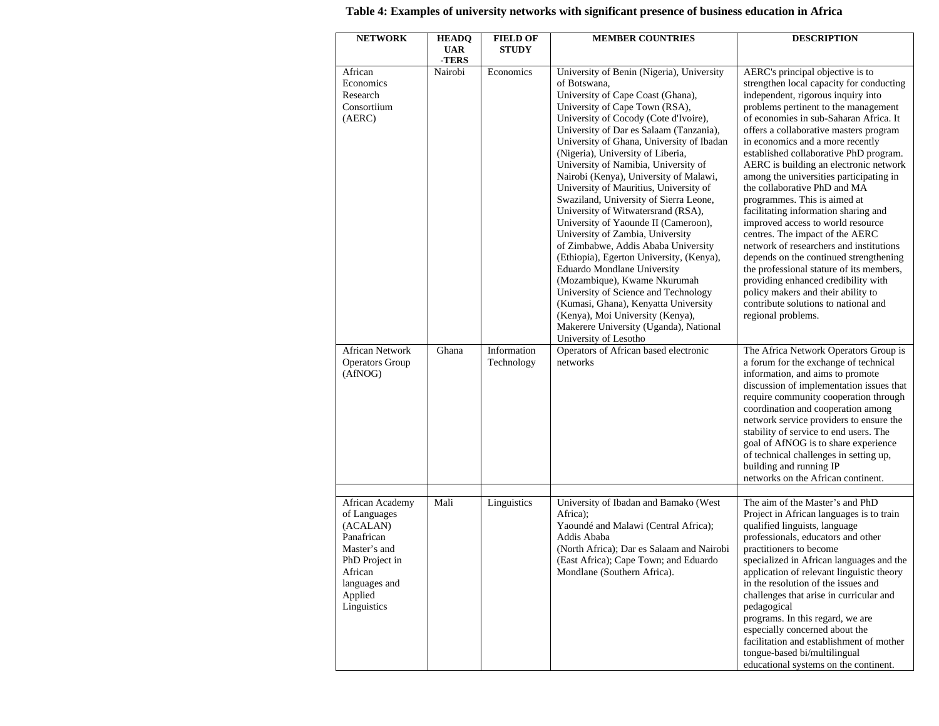| <b>NETWORK</b>                                                                                                                                    | <b>HEADQ</b><br><b>UAR</b><br>-TERS | <b>FIELD OF</b><br><b>STUDY</b> | <b>MEMBER COUNTRIES</b>                                                                                                                                                                                                                                                                                                                                                                                                                                                                                                                                                                                                                                                                                                                                                                                                                                                                                                                 | <b>DESCRIPTION</b>                                                                                                                                                                                                                                                                                                                                                                                                                                                                                                                                                                                                                                                                                                                                                                                                                                                            |
|---------------------------------------------------------------------------------------------------------------------------------------------------|-------------------------------------|---------------------------------|-----------------------------------------------------------------------------------------------------------------------------------------------------------------------------------------------------------------------------------------------------------------------------------------------------------------------------------------------------------------------------------------------------------------------------------------------------------------------------------------------------------------------------------------------------------------------------------------------------------------------------------------------------------------------------------------------------------------------------------------------------------------------------------------------------------------------------------------------------------------------------------------------------------------------------------------|-------------------------------------------------------------------------------------------------------------------------------------------------------------------------------------------------------------------------------------------------------------------------------------------------------------------------------------------------------------------------------------------------------------------------------------------------------------------------------------------------------------------------------------------------------------------------------------------------------------------------------------------------------------------------------------------------------------------------------------------------------------------------------------------------------------------------------------------------------------------------------|
| African<br>Economics<br>Research<br>Consortiium<br>(AERC)                                                                                         | Nairobi                             | Economics                       | University of Benin (Nigeria), University<br>of Botswana,<br>University of Cape Coast (Ghana),<br>University of Cape Town (RSA),<br>University of Cocody (Cote d'Ivoire),<br>University of Dar es Salaam (Tanzania),<br>University of Ghana, University of Ibadan<br>(Nigeria), University of Liberia,<br>University of Namibia, University of<br>Nairobi (Kenya), University of Malawi,<br>University of Mauritius, University of<br>Swaziland, University of Sierra Leone,<br>University of Witwatersrand (RSA),<br>University of Yaounde II (Cameroon),<br>University of Zambia, University<br>of Zimbabwe, Addis Ababa University<br>(Ethiopia), Egerton University, (Kenya),<br>Eduardo Mondlane University<br>(Mozambique), Kwame Nkurumah<br>University of Science and Technology<br>(Kumasi, Ghana), Kenyatta University<br>(Kenya), Moi University (Kenya),<br>Makerere University (Uganda), National<br>University of Lesotho | AERC's principal objective is to<br>strengthen local capacity for conducting<br>independent, rigorous inquiry into<br>problems pertinent to the management<br>of economies in sub-Saharan Africa. It<br>offers a collaborative masters program<br>in economics and a more recently<br>established collaborative PhD program.<br>AERC is building an electronic network<br>among the universities participating in<br>the collaborative PhD and MA<br>programmes. This is aimed at<br>facilitating information sharing and<br>improved access to world resource<br>centres. The impact of the AERC<br>network of researchers and institutions<br>depends on the continued strengthening<br>the professional stature of its members,<br>providing enhanced credibility with<br>policy makers and their ability to<br>contribute solutions to national and<br>regional problems. |
| <b>African Network</b><br><b>Operators Group</b><br>(AfNOG)                                                                                       | Ghana                               | Information<br>Technology       | Operators of African based electronic<br>networks                                                                                                                                                                                                                                                                                                                                                                                                                                                                                                                                                                                                                                                                                                                                                                                                                                                                                       | The Africa Network Operators Group is<br>a forum for the exchange of technical<br>information, and aims to promote<br>discussion of implementation issues that<br>require community cooperation through<br>coordination and cooperation among<br>network service providers to ensure the<br>stability of service to end users. The<br>goal of AfNOG is to share experience<br>of technical challenges in setting up,<br>building and running IP<br>networks on the African continent.                                                                                                                                                                                                                                                                                                                                                                                         |
| African Academy<br>of Languages<br>(ACALAN)<br>Panafrican<br>Master's and<br>PhD Project in<br>African<br>languages and<br>Applied<br>Linguistics | Mali                                | Linguistics                     | University of Ibadan and Bamako (West<br>Africa);<br>Yaoundé and Malawi (Central Africa);<br>Addis Ababa<br>(North Africa); Dar es Salaam and Nairobi<br>(East Africa); Cape Town; and Eduardo<br>Mondlane (Southern Africa).                                                                                                                                                                                                                                                                                                                                                                                                                                                                                                                                                                                                                                                                                                           | The aim of the Master's and PhD<br>Project in African languages is to train<br>qualified linguists, language<br>professionals, educators and other<br>practitioners to become<br>specialized in African languages and the<br>application of relevant linguistic theory<br>in the resolution of the issues and<br>challenges that arise in curricular and<br>pedagogical<br>programs. In this regard, we are<br>especially concerned about the<br>facilitation and establishment of mother<br>tongue-based bi/multilingual<br>educational systems on the continent.                                                                                                                                                                                                                                                                                                            |

## **Table 4: Examples of university networks with significant presence of business education in Africa**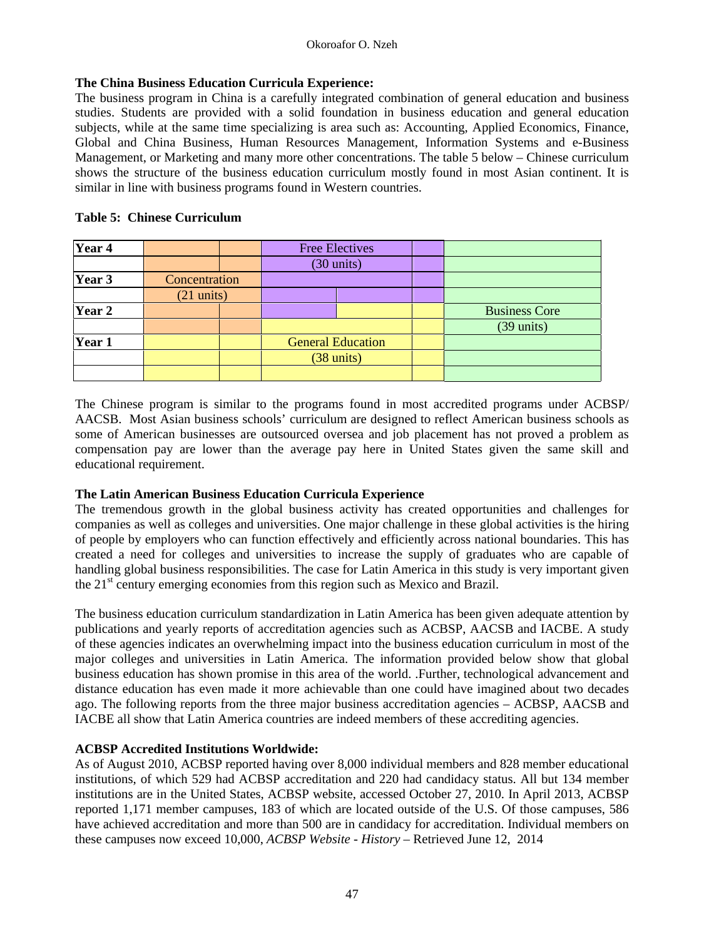### **The China Business Education Curricula Experience:**

The business program in China is a carefully integrated combination of general education and business studies. Students are provided with a solid foundation in business education and general education subjects, while at the same time specializing is area such as: Accounting, Applied Economics, Finance, Global and China Business, Human Resources Management, Information Systems and e-Business Management, or Marketing and many more other concentrations. The table 5 below – Chinese curriculum shows the structure of the business education curriculum mostly found in most Asian continent. It is similar in line with business programs found in Western countries.

| Year 4 |                      |  |                      | <b>Free Electives</b>    |                      |
|--------|----------------------|--|----------------------|--------------------------|----------------------|
|        |                      |  | $(30 \text{ units})$ |                          |                      |
| Year 3 | Concentration        |  |                      |                          |                      |
|        | $(21 \text{ units})$ |  |                      |                          |                      |
| Year 2 |                      |  |                      |                          | <b>Business Core</b> |
|        |                      |  |                      |                          | $(39 \text{ units})$ |
| Year 1 |                      |  |                      | <b>General Education</b> |                      |
|        |                      |  |                      | $(38 \text{ units})$     |                      |
|        |                      |  |                      |                          |                      |

### **Table 5: Chinese Curriculum**

The Chinese program is similar to the programs found in most accredited programs under ACBSP/ AACSB. Most Asian business schools' curriculum are designed to reflect American business schools as some of American businesses are outsourced oversea and job placement has not proved a problem as compensation pay are lower than the average pay here in United States given the same skill and educational requirement.

### **The Latin American Business Education Curricula Experience**

The tremendous growth in the global business activity has created opportunities and challenges for companies as well as colleges and universities. One major challenge in these global activities is the hiring of people by employers who can function effectively and efficiently across national boundaries. This has created a need for colleges and universities to increase the supply of graduates who are capable of handling global business responsibilities. The case for Latin America in this study is very important given the  $21<sup>st</sup>$  century emerging economies from this region such as Mexico and Brazil.

The business education curriculum standardization in Latin America has been given adequate attention by publications and yearly reports of accreditation agencies such as ACBSP, AACSB and IACBE. A study of these agencies indicates an overwhelming impact into the business education curriculum in most of the major colleges and universities in Latin America. The information provided below show that global business education has shown promise in this area of the world. .Further, technological advancement and distance education has even made it more achievable than one could have imagined about two decades ago. The following reports from the three major business accreditation agencies – ACBSP, AACSB and IACBE all show that Latin America countries are indeed members of these accrediting agencies.

### **ACBSP Accredited Institutions Worldwide:**

As of August 2010, ACBSP reported having over 8,000 individual members and 828 member educational institutions, of which 529 had ACBSP accreditation and 220 had candidacy status. All but 134 member institutions are in the United States, ACBSP website, accessed October 27, 2010. In April 2013, ACBSP reported 1,171 member campuses, 183 of which are located outside of the U.S. Of those campuses, 586 have achieved accreditation and more than 500 are in candidacy for accreditation. Individual members on these campuses now exceed 10,000, *ACBSP Website - History* – Retrieved June 12, 2014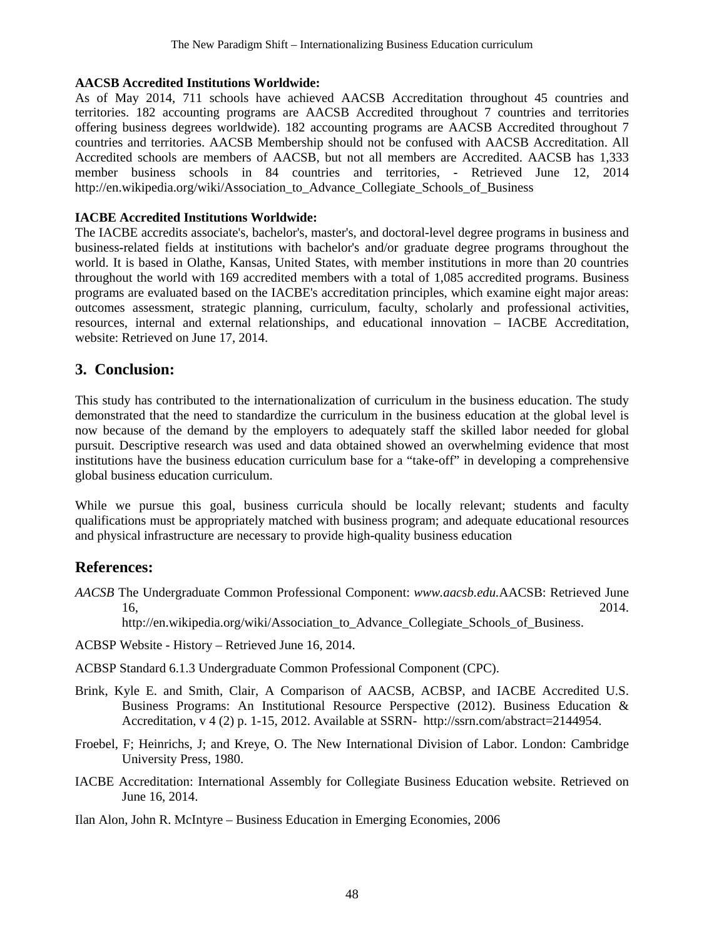#### **AACSB Accredited Institutions Worldwide:**

As of May 2014, 711 schools have achieved AACSB Accreditation throughout 45 countries and territories. 182 accounting programs are AACSB Accredited throughout 7 countries and territories offering business degrees worldwide). 182 accounting programs are AACSB Accredited throughout 7 countries and territories. AACSB Membership should not be confused with AACSB Accreditation. All Accredited schools are members of AACSB, but not all members are Accredited. AACSB has 1,333 member business schools in 84 countries and territories, - Retrieved June 12, 2014 http://en.wikipedia.org/wiki/Association to Advance Collegiate Schools of Business

### **IACBE Accredited Institutions Worldwide:**

The IACBE accredits associate's, bachelor's, master's, and doctoral-level degree programs in business and business-related fields at institutions with bachelor's and/or graduate degree programs throughout the world. It is based in Olathe, Kansas, United States, with member institutions in more than 20 countries throughout the world with 169 accredited members with a total of 1,085 accredited programs. Business programs are evaluated based on the IACBE's accreditation principles, which examine eight major areas: outcomes assessment, strategic planning, curriculum, faculty, scholarly and professional activities, resources, internal and external relationships, and educational innovation – IACBE Accreditation, website: Retrieved on June 17, 2014.

## **3. Conclusion:**

This study has contributed to the internationalization of curriculum in the business education. The study demonstrated that the need to standardize the curriculum in the business education at the global level is now because of the demand by the employers to adequately staff the skilled labor needed for global pursuit. Descriptive research was used and data obtained showed an overwhelming evidence that most institutions have the business education curriculum base for a "take-off" in developing a comprehensive global business education curriculum.

While we pursue this goal, business curricula should be locally relevant; students and faculty qualifications must be appropriately matched with business program; and adequate educational resources and physical infrastructure are necessary to provide high-quality business education

## **References:**

*AACSB* The Undergraduate Common Professional Component: *www.aacsb.edu.*AACSB: Retrieved June 16, 2014.

http://en.wikipedia.org/wiki/Association to Advance Collegiate Schools of Business.

ACBSP Website - History – Retrieved June 16, 2014.

ACBSP Standard 6.1.3 Undergraduate Common Professional Component (CPC).

- Brink, Kyle E. and Smith, Clair, A Comparison of AACSB, ACBSP, and IACBE Accredited U.S. Business Programs: An Institutional Resource Perspective (2012). Business Education & Accreditation, v 4 (2) p. 1-15, 2012. Available at SSRN- http://ssrn.com/abstract=2144954.
- Froebel, F; Heinrichs, J; and Kreye, O. The New International Division of Labor. London: Cambridge University Press, 1980.
- IACBE Accreditation: International Assembly for Collegiate Business Education website. Retrieved on June 16, 2014.

Ilan Alon, John R. McIntyre – Business Education in Emerging Economies, 2006